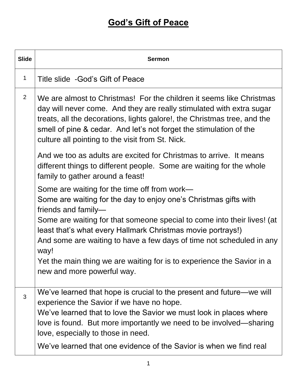| <b>Slide</b>   | <b>Sermon</b>                                                                                                                                                                                                                                                                                                                                      |
|----------------|----------------------------------------------------------------------------------------------------------------------------------------------------------------------------------------------------------------------------------------------------------------------------------------------------------------------------------------------------|
| $\mathbf 1$    | Title slide -God's Gift of Peace                                                                                                                                                                                                                                                                                                                   |
| $\overline{2}$ | We are almost to Christmas! For the children it seems like Christmas<br>day will never come. And they are really stimulated with extra sugar<br>treats, all the decorations, lights galore!, the Christmas tree, and the<br>smell of pine & cedar. And let's not forget the stimulation of the<br>culture all pointing to the visit from St. Nick. |
|                | And we too as adults are excited for Christmas to arrive. It means<br>different things to different people. Some are waiting for the whole<br>family to gather around a feast!                                                                                                                                                                     |
|                | Some are waiting for the time off from work—<br>Some are waiting for the day to enjoy one's Christmas gifts with<br>friends and family-                                                                                                                                                                                                            |
|                | Some are waiting for that someone special to come into their lives! (at<br>least that's what every Hallmark Christmas movie portrays!)<br>And some are waiting to have a few days of time not scheduled in any<br>way!                                                                                                                             |
|                | Yet the main thing we are waiting for is to experience the Savior in a<br>new and more powerful way.                                                                                                                                                                                                                                               |
| 3              | We've learned that hope is crucial to the present and future—we will<br>experience the Savior if we have no hope.                                                                                                                                                                                                                                  |
|                | We've learned that to love the Savior we must look in places where<br>love is found. But more importantly we need to be involved—sharing<br>love, especially to those in need.                                                                                                                                                                     |
|                | We've learned that one evidence of the Savior is when we find real                                                                                                                                                                                                                                                                                 |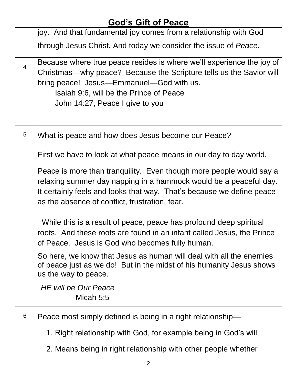|                | joy. And that fundamental joy comes from a relationship with God                                                                                                                                                                                                       |
|----------------|------------------------------------------------------------------------------------------------------------------------------------------------------------------------------------------------------------------------------------------------------------------------|
|                | through Jesus Christ. And today we consider the issue of Peace.                                                                                                                                                                                                        |
| $\overline{4}$ | Because where true peace resides is where we'll experience the joy of<br>Christmas—why peace? Because the Scripture tells us the Savior will<br>bring peace! Jesus-Emmanuel-God with us.<br>Isaiah 9:6, will be the Prince of Peace<br>John 14:27, Peace I give to you |
| 5              | What is peace and how does Jesus become our Peace?                                                                                                                                                                                                                     |
|                | First we have to look at what peace means in our day to day world.                                                                                                                                                                                                     |
|                | Peace is more than tranquility. Even though more people would say a<br>relaxing summer day napping in a hammock would be a peaceful day.<br>It certainly feels and looks that way. That's because we define peace<br>as the absence of conflict, frustration, fear.    |
|                | While this is a result of peace, peace has profound deep spiritual<br>roots. And these roots are found in an infant called Jesus, the Prince<br>of Peace. Jesus is God who becomes fully human.                                                                        |
|                | So here, we know that Jesus as human will deal with all the enemies<br>of peace just as we do! But in the midst of his humanity Jesus shows<br>us the way to peace.                                                                                                    |
|                | <b>HE will be Our Peace</b><br>Micah 5:5                                                                                                                                                                                                                               |
| 6              | Peace most simply defined is being in a right relationship-                                                                                                                                                                                                            |
|                | 1. Right relationship with God, for example being in God's will                                                                                                                                                                                                        |
|                | 2. Means being in right relationship with other people whether                                                                                                                                                                                                         |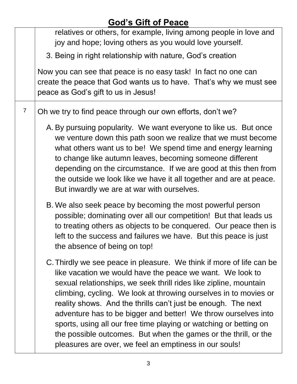| relatives or others, for example, living among people in love and<br>joy and hope; loving others as you would love yourself.                                                                                                                                                                                                                                                                                                                                                                                                                                                                                    |
|-----------------------------------------------------------------------------------------------------------------------------------------------------------------------------------------------------------------------------------------------------------------------------------------------------------------------------------------------------------------------------------------------------------------------------------------------------------------------------------------------------------------------------------------------------------------------------------------------------------------|
| 3. Being in right relationship with nature, God's creation                                                                                                                                                                                                                                                                                                                                                                                                                                                                                                                                                      |
| Now you can see that peace is no easy task! In fact no one can<br>create the peace that God wants us to have. That's why we must see<br>peace as God's gift to us in Jesus!                                                                                                                                                                                                                                                                                                                                                                                                                                     |
| Oh we try to find peace through our own efforts, don't we?                                                                                                                                                                                                                                                                                                                                                                                                                                                                                                                                                      |
| A. By pursuing popularity. We want everyone to like us. But once<br>we venture down this path soon we realize that we must become<br>what others want us to be! We spend time and energy learning<br>to change like autumn leaves, becoming someone different<br>depending on the circumstance. If we are good at this then from<br>the outside we look like we have it all together and are at peace.<br>But inwardly we are at war with ourselves.                                                                                                                                                            |
| B. We also seek peace by becoming the most powerful person<br>possible; dominating over all our competition! But that leads us<br>to treating others as objects to be conquered. Our peace then is<br>left to the success and failures we have. But this peace is just<br>the absence of being on top!                                                                                                                                                                                                                                                                                                          |
| C. Thirdly we see peace in pleasure. We think if more of life can be<br>like vacation we would have the peace we want. We look to<br>sexual relationships, we seek thrill rides like zipline, mountain<br>climbing, cycling. We look at throwing ourselves in to movies or<br>reality shows. And the thrills can't just be enough. The next<br>adventure has to be bigger and better! We throw ourselves into<br>sports, using all our free time playing or watching or betting on<br>the possible outcomes. But when the games or the thrill, or the<br>pleasures are over, we feel an emptiness in our souls! |
|                                                                                                                                                                                                                                                                                                                                                                                                                                                                                                                                                                                                                 |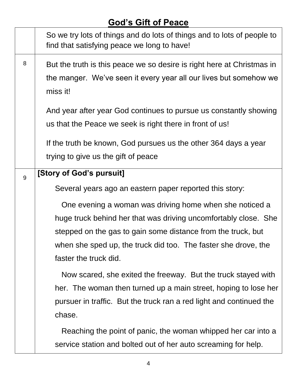|   | So we try lots of things and do lots of things and to lots of people to<br>find that satisfying peace we long to have!                                  |
|---|---------------------------------------------------------------------------------------------------------------------------------------------------------|
| 8 | But the truth is this peace we so desire is right here at Christmas in<br>the manger. We've seen it every year all our lives but somehow we<br>miss it! |
|   | And year after year God continues to pursue us constantly showing<br>us that the Peace we seek is right there in front of us!                           |
|   | If the truth be known, God pursues us the other 364 days a year<br>trying to give us the gift of peace                                                  |
| 9 | [Story of God's pursuit]                                                                                                                                |
|   | Several years ago an eastern paper reported this story:                                                                                                 |
|   | One evening a woman was driving home when she noticed a                                                                                                 |
|   | huge truck behind her that was driving uncomfortably close. She                                                                                         |
|   | stepped on the gas to gain some distance from the truck, but                                                                                            |
|   | when she sped up, the truck did too. The faster she drove, the<br>faster the truck did.                                                                 |
|   | Now scared, she exited the freeway. But the truck stayed with                                                                                           |
|   | her. The woman then turned up a main street, hoping to lose her                                                                                         |
|   | pursuer in traffic. But the truck ran a red light and continued the                                                                                     |
|   | chase.                                                                                                                                                  |
|   | Reaching the point of panic, the woman whipped her car into a                                                                                           |
|   | service station and bolted out of her auto screaming for help.                                                                                          |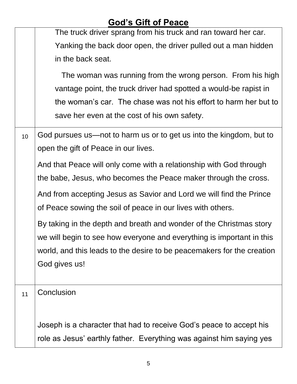# **God's Gift of Peace** The truck driver sprang from his truck and ran toward her car. Yanking the back door open, the driver pulled out a man hidden in the back seat. The woman was running from the wrong person. From his high vantage point, the truck driver had spotted a would-be rapist in the woman's car. The chase was not his effort to harm her but to save her even at the cost of his own safety.  $10$  God pursues us—not to harm us or to get us into the kingdom, but to open the gift of Peace in our lives. And that Peace will only come with a relationship with God through the babe, Jesus, who becomes the Peace maker through the cross. And from accepting Jesus as Savior and Lord we will find the Prince of Peace sowing the soil of peace in our lives with others. By taking in the depth and breath and wonder of the Christmas story we will begin to see how everyone and everything is important in this world, and this leads to the desire to be peacemakers for the creation God gives us! 11 | Conclusion Joseph is a character that had to receive God's peace to accept his role as Jesus' earthly father. Everything was against him saying yes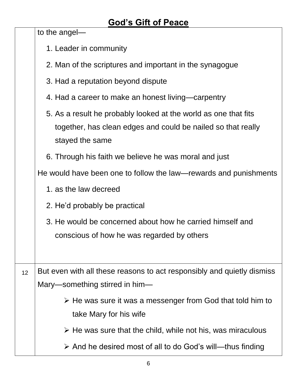to the angel—

|    | 1. Leader in community                                                                                                                             |
|----|----------------------------------------------------------------------------------------------------------------------------------------------------|
|    | 2. Man of the scriptures and important in the synagogue                                                                                            |
|    | 3. Had a reputation beyond dispute                                                                                                                 |
|    | 4. Had a career to make an honest living—carpentry                                                                                                 |
|    | 5. As a result he probably looked at the world as one that fits<br>together, has clean edges and could be nailed so that really<br>stayed the same |
|    | 6. Through his faith we believe he was moral and just                                                                                              |
|    | He would have been one to follow the law—rewards and punishments                                                                                   |
|    | 1. as the law decreed                                                                                                                              |
|    | 2. He'd probably be practical                                                                                                                      |
|    | 3. He would be concerned about how he carried himself and<br>conscious of how he was regarded by others                                            |
| 12 | But even with all these reasons to act responsibly and quietly dismiss                                                                             |
|    | Mary-something stirred in him-                                                                                                                     |
|    | $\triangleright$ He was sure it was a messenger from God that told him to<br>take Mary for his wife                                                |
|    | $\triangleright$ He was sure that the child, while not his, was miraculous                                                                         |
|    | $\triangleright$ And he desired most of all to do God's will—thus finding                                                                          |